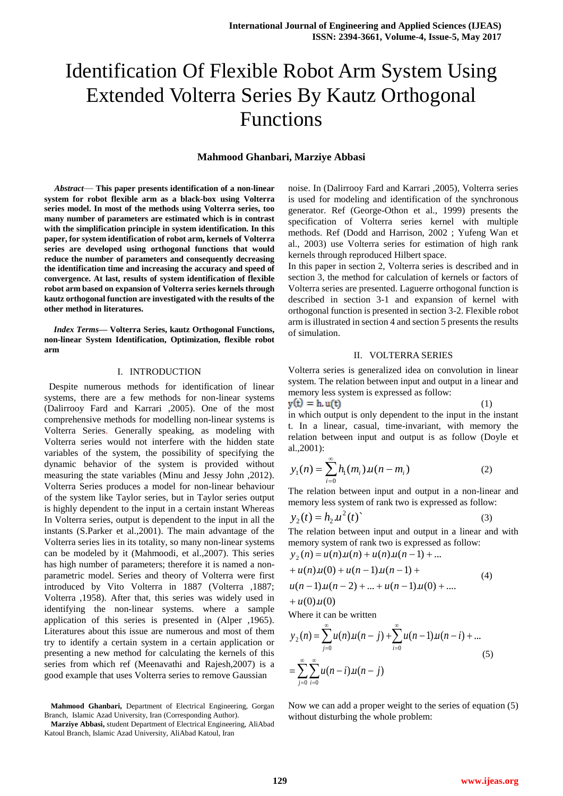# Identification Of Flexible Robot Arm System Using Extended Volterra Series By Kautz Orthogonal Functions

# **Mahmood Ghanbari, Marziye Abbasi**

*Abstract*— **This paper presents identification of a non-linear system for robot flexible arm as a black-box using Volterra series model. In most of the methods using Volterra series, too many number of parameters are estimated which is in contrast with the simplification principle in system identification. In this paper, for system identification of robot arm, kernels of Volterra series are developed using orthogonal functions that would reduce the number of parameters and consequently decreasing the identification time and increasing the accuracy and speed of convergence. At last, results of system identification of flexible robot arm based on expansion of Volterra series kernels through kautz orthogonal function are investigated with the results of the other method in literatures.**

*Index Terms***— Volterra Series, kautz Orthogonal Functions, non-linear System Identification, Optimization, flexible robot arm**

### I. INTRODUCTION

 Despite numerous methods for identification of linear systems, there are a few methods for non-linear systems (Dalirrooy Fard and Karrari ,2005). One of the most comprehensive methods for modelling non-linear systems is Volterra Series. Generally speaking, as modeling with Volterra series would not interfere with the hidden state variables of the system, the possibility of specifying the dynamic behavior of the system is provided without measuring the state variables (Minu and Jessy John ,2012). Volterra Series produces a model for non-linear behaviour of the system like Taylor series, but in Taylor series output is highly dependent to the input in a certain instant Whereas In Volterra series, output is dependent to the input in all the instants (S.Parker et al.,2001). The main advantage of the Volterra series lies in its totality, so many non-linear systems can be modeled by it (Mahmoodi, et al.,2007). This series has high number of parameters; therefore it is named a nonparametric model. Series and theory of Volterra were first introduced by Vito Volterra in 1887 (Volterra ,1887; Volterra ,1958). After that, this series was widely used in identifying the non-linear systems. where a sample application of this series is presented in (Alper ,1965). Literatures about this issue are numerous and most of them try to identify a certain system in a certain application or presenting a new method for calculating the kernels of this series from which ref (Meenavathi and Rajesh,2007) is a good example that uses Volterra series to remove Gaussian

**Mahmood Ghanbari,** Department of Electrical Engineering, Gorgan Branch, Islamic Azad University, Iran (Corresponding Author).

noise. In (Dalirrooy Fard and Karrari ,2005), Volterra series is used for modeling and identification of the synchronous generator. Ref (George-Othon et al., 1999) presents the specification of Volterra series kernel with multiple methods. Ref (Dodd and Harrison, 2002 ; Yufeng Wan et al., 2003) use Volterra series for estimation of high rank kernels through reproduced Hilbert space.

In this paper in section 2, Volterra series is described and in section 3, the method for calculation of kernels or factors of Volterra series are presented. Laguerre orthogonal function is described in section 3-1 and expansion of kernel with orthogonal function is presented in section 3-2. Flexible robot arm is illustrated in section 4 and section 5 presents the results of simulation.

## II. VOLTERRA SERIES

Volterra series is generalized idea on convolution in linear system. The relation between input and output in a linear and memory less system is expressed as follow:

 $y(t) = h.u(t)$  (1) in which output is only dependent to the input in the instant t. In a linear, casual, time-invariant, with memory the relation between input and output is as follow (Doyle et al.,2001):

$$
y_1(n) = \sum_{i=0}^{\infty} h_1(m_i) u(n - m_i)
$$
 (2)

The relation between input and output in a non-linear and memory less system of rank two is expressed as follow:

$$
y_2(t) = h_2 u^2(t) \tag{3}
$$

The relation between input and output in a linear and with memory system of rank two is expressed as follow:

$$
y_2(n) = u(n)u(n) + u(n)u(n-1) + ... + u(n)u(0) + u(n-1)u(n-1) + u(n-1)u(n-2) + ... + u(n-1)u(0) + ... + u(0)u(0)
$$
 (4)  
Where it can be written

$$
y_2(n) = \sum_{j=0}^{\infty} u(n) u(n-j) + \sum_{i=0}^{\infty} u(n-1) u(n-i) + ...
$$
  
= 
$$
\sum_{j=0}^{\infty} \sum_{i=0}^{\infty} u(n-i) u(n-j)
$$
 (5)

Now we can add a proper weight to the series of equation (5) without disturbing the whole problem:

**Marziye Abbasi,** student Department of Electrical Engineering, AliAbad Katoul Branch, Islamic Azad University, AliAbad Katoul, Iran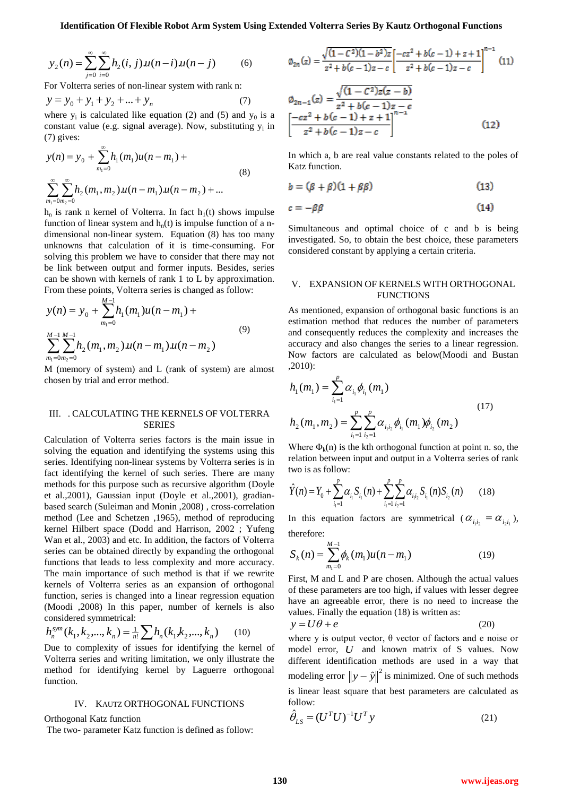$$
y_2(n) = \sum_{j=0}^{\infty} \sum_{i=0}^{\infty} h_2(i, j) u(n-i) u(n-j)
$$
 (6)

For Volterra series of non-linear system with rank n:

$$
y = y_0 + y_1 + y_2 + \dots + y_n \tag{7}
$$

where  $y_i$  is calculated like equation (2) and (5) and  $y_0$  is a constant value (e.g. signal average). Now, substituting  $y_i$  in (7) gives:

$$
y(n) = y_0 + \sum_{m_1=0}^{\infty} h_1(m_1)u(n - m_1) +
$$
  

$$
\sum_{m_1=0}^{\infty} \sum_{m_2=0}^{\infty} h_2(m_1, m_2)u(n - m_1)u(n - m_2) + ...
$$
 (8)

 $h_n$  is rank n kernel of Volterra. In fact  $h_1(t)$  shows impulse function of linear system and  $h_n(t)$  is impulse function of a ndimensional non-linear system. Equation (8) has too many unknowns that calculation of it is time-consuming. For solving this problem we have to consider that there may not be link between output and former inputs. Besides, series can be shown with kernels of rank 1 to L by approximation. From these points, Volterra series is changed as follow:

$$
y(n) = y_0 + \sum_{m_1=0}^{M-1} h_1(m_1)u(n - m_1) +
$$
  

$$
\sum_{m_1=0}^{M-1} \sum_{m_2=0}^{M-1} h_2(m_1, m_2)u(n - m_1)u(n - m_2)
$$
 (9)

M (memory of system) and L (rank of system) are almost chosen by trial and error method.

# III. . CALCULATING THE KERNELS OF VOLTERRA SERIES

Calculation of Volterra series factors is the main issue in solving the equation and identifying the systems using this series. Identifying non-linear systems by Volterra series is in fact identifying the kernel of such series. There are many methods for this purpose such as recursive algorithm (Doyle et al.,2001), Gaussian input (Doyle et al.,2001), gradianbased search (Suleiman and Monin ,2008) , cross-correlation method (Lee and Schetzen ,1965), method of reproducing kernel Hilbert space (Dodd and Harrison, 2002 ; Yufeng Wan et al., 2003) and etc. In addition, the factors of Volterra series can be obtained directly by expanding the orthogonal functions that leads to less complexity and more accuracy. The main importance of such method is that if we rewrite kernels of Volterra series as an expansion of orthogonal function, series is changed into a linear regression equation (Moodi ,2008) In this paper, number of kernels is also considered symmetrical:

$$
h_n^{sym}(k_1, k_2, \dots, k_n) = \frac{1}{n!} \sum h_n(k_1, k_2, \dots, k_n)
$$
 (10)

Due to complexity of issues for identifying the kernel of Volterra series and writing limitation, we only illustrate the method for identifying kernel by Laguerre orthogonal function.

### IV. KAUTZ ORTHOGONAL FUNCTIONS

Orthogonal Katz function

The two- parameter Katz function is defined as follow:

$$
\varphi_{2n}(z) = \frac{\sqrt{(1 - C^2)(1 - b^2)z}}{z^2 + b(c - 1)z - c} \left[ \frac{-cz^2 + b(c - 1) + z + 1}{z^2 + b(c - 1)z - c} \right]^{n-1} (11)
$$

$$
\varphi_{2n-1}(z) = \frac{\sqrt{(1 - C^2)z(z - b)}}{z^2 + b(c - 1)z - c}
$$

$$
\left[ \frac{-cz^2 + b(c - 1) + z + 1}{z^2 + b(c - 1)z - c} \right]^{n-1} (12)
$$

In which a, b are real value constants related to the poles of Katz function.

$$
b = (\beta + \beta)(1 + \beta \beta) \tag{13}
$$

$$
c = -\beta \beta \tag{14}
$$

Simultaneous and optimal choice of c and b is being investigated. So, to obtain the best choice, these parameters considered constant by applying a certain criteria.

## V. EXPANSION OF KERNELS WITH ORTHOGONAL FUNCTIONS

As mentioned, expansion of orthogonal basic functions is an estimation method that reduces the number of parameters and consequently reduces the complexity and increases the accuracy and also changes the series to a linear regression. Now factors are calculated as below(Moodi and Bustan ,2010):

$$
h_1(m_1) = \sum_{i_1=1}^p \alpha_{i_1} \phi_{i_1}(m_1)
$$
  
\n
$$
h_2(m_1, m_2) = \sum_{i_1=1}^p \sum_{i_2=1}^p \alpha_{i_1 i_2} \phi_{i_1}(m_1) \phi_{i_2}(m_2)
$$
\n(17)

Where  $\Phi_k(n)$  is the kth orthogonal function at point n. so, the relation between input and output in a Volterra series of rank two is as follow:

$$
\hat{Y}(n) = Y_0 + \sum_{i_1=1}^p \alpha_{i_1} S_{i_1}(n) + \sum_{i_1=1}^p \sum_{i_2=1}^p \alpha_{i_1 i_2} S_{i_1}(n) S_{i_2}(n) \qquad (18)
$$

In this equation factors are symmetrical ( $\alpha_{i_1 i_2} = \alpha_{i_2 i_1}$ ), therefore:

$$
S_k(n) = \sum_{m_1=0}^{M-1} \phi_k(m_1) u(n - m_1)
$$
 (19)

First, M and L and P are chosen. Although the actual values of these parameters are too high, if values with lesser degree have an agreeable error, there is no need to increase the values. Finally the equation (18) is written as:

$$
y = U\theta + e \tag{20}
$$

where *y* is output vector,  $θ$  vector of factors and e noise or model error, *U* and known matrix of S values. Now different identification methods are used in a way that modeling error  $||y - \hat{y}||^2$  is minimized. One of such methods is linear least square that best parameters are calculated as follow:

$$
\hat{\theta}_{LS} = (U^T U)^{-1} U^T y \tag{21}
$$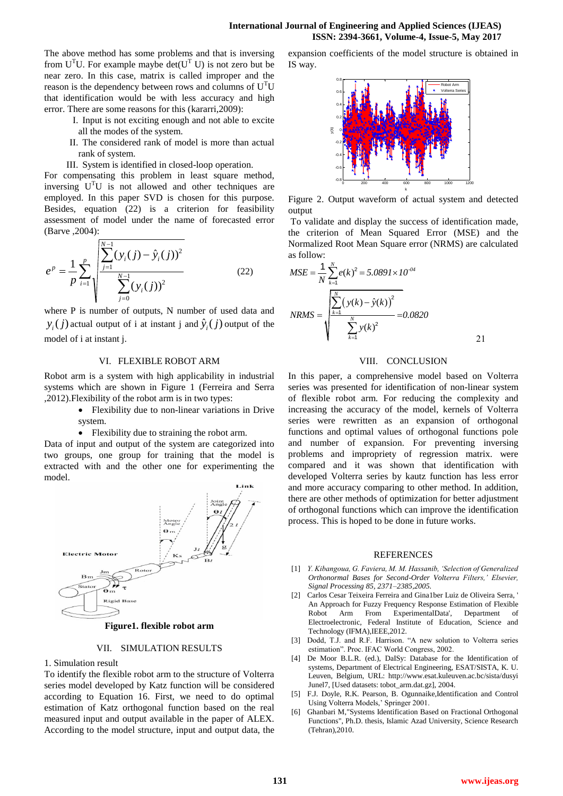The above method has some problems and that is inversing from  $U<sup>T</sup>U$ . For example maybe det( $U<sup>T</sup>$  U) is not zero but be near zero. In this case, matrix is called improper and the reason is the dependency between rows and columns of  $U<sup>T</sup>U$ that identification would be with less accuracy and high error. There are some reasons for this (kararri,2009):

- I. Input is not exciting enough and not able to excite all the modes of the system.
- II. The considered rank of model is more than actual rank of system.
- III. System is identified in closed-loop operation.

For compensating this problem in least square method, inversing  $U<sup>T</sup>U$  is not allowed and other techniques are employed. In this paper SVD is chosen for this purpose. Besides, equation (22) is a criterion for feasibility assessment of model under the name of forecasted error (Barve ,2004):

$$
e^{p} = \frac{1}{p} \sum_{i=1}^{p} \sqrt{\frac{\sum_{j=1}^{N-1} (y_i(j) - \hat{y}_i(j))^2}{\sum_{j=0}^{N-1} (y_i(j))^2}}
$$
(22)

where P is number of outputs. N number of used data and  $y_i(j)$  actual output of i at instant j and  $\hat{y}_i(j)$  output of the model of i at instant j.

# VI. FLEXIBLE ROBOT ARM

Robot arm is a system with high applicability in industrial systems which are shown in Figure 1 (Ferreira and Serra ,2012).Flexibility of the robot arm is in two types:

- Flexibility due to non-linear variations in Drive system.
- Flexibility due to straining the robot arm.

Data of input and output of the system are categorized into two groups, one group for training that the model is extracted with and the other one for experimenting the model.



**Figure1. flexible robot arm**

# VII. SIMULATION RESULTS

1. Simulation result

To identify the flexible robot arm to the structure of Volterra series model developed by Katz function will be considered according to Equation 16. First, we need to do optimal estimation of Katz orthogonal function based on the real measured input and output available in the paper of ALEX. According to the model structure, input and output data, the expansion coefficients of the model structure is obtained in IS way.



Figure 2. Output waveform of actual system and detected output

To validate and display the success of identification made, the criterion of Mean Squared Error (MSE) and the Normalized Root Mean Square error (NRMS) are calculated as follow:

$$
MSE = \frac{1}{N} \sum_{k=1}^{N} e(k)^2 = 5.0891 \times 10^{-04}
$$
  

$$
NRMS = \sqrt{\frac{\sum_{k=1}^{N} (y(k) - \hat{y}(k))^2}{\sum_{k=1}^{N} y(k)^2}} = 0.0820
$$

# VIII. CONCLUSION

In this paper, a comprehensive model based on Volterra series was presented for identification of non-linear system of flexible robot arm. For reducing the complexity and increasing the accuracy of the model, kernels of Volterra series were rewritten as an expansion of orthogonal functions and optimal values of orthogonal functions pole and number of expansion. For preventing inversing problems and impropriety of regression matrix. were compared and it was shown that identification with developed Volterra series by kautz function has less error and more accuracy comparing to other method. In addition, there are other methods of optimization for better adjustment of orthogonal functions which can improve the identification process. This is hoped to be done in future works.

### **REFERENCES**

- [1] *Y. Kibangoua, G. Faviera, M. M. Hassanib, 'Selection of Generalized Orthonormal Bases for Second-Order Volterra Filters,' Elsevier, Signal Processing 85, 2371–2385*,*2005.*
- [2] Carlos Cesar Teixeira Ferreira and Gina1ber Luiz de Oliveira Serra, ' An Approach for Fuzzy Frequency Response Estimation of Flexible Robot Arm From ExperimentalData', Department of Electroelectronic, Federal Institute of Education, Science and Technology (IFMA), IEEE, 2012.
- [3] Dodd, T.J. and R.F. Harrison. "A new solution to Volterra series estimation". Proc. IFAC World Congress, 2002.
- [4] De Moor B.L.R. (ed.), DaISy: Database for the Identification of systems, Department of Electrical Engineering, ESAT/SISTA, K. U. Leuven, Belgium, URL: http://www.esat.kuleuven.ac.bc/sista/dusyi Junel7, [Used datasets: tobot\_arm.dat.gz], 2004.
- [5] F.J. Doyle, R.K. Pearson, B. Ogunnaike,Identification and Control Using Volterra Models,' Springer 2001.
- [6] Ghanbari M,"Systems Identification Based on Fractional Orthogonal Functions", Ph.D. thesis, Islamic Azad University, Science Research (Tehran),2010.